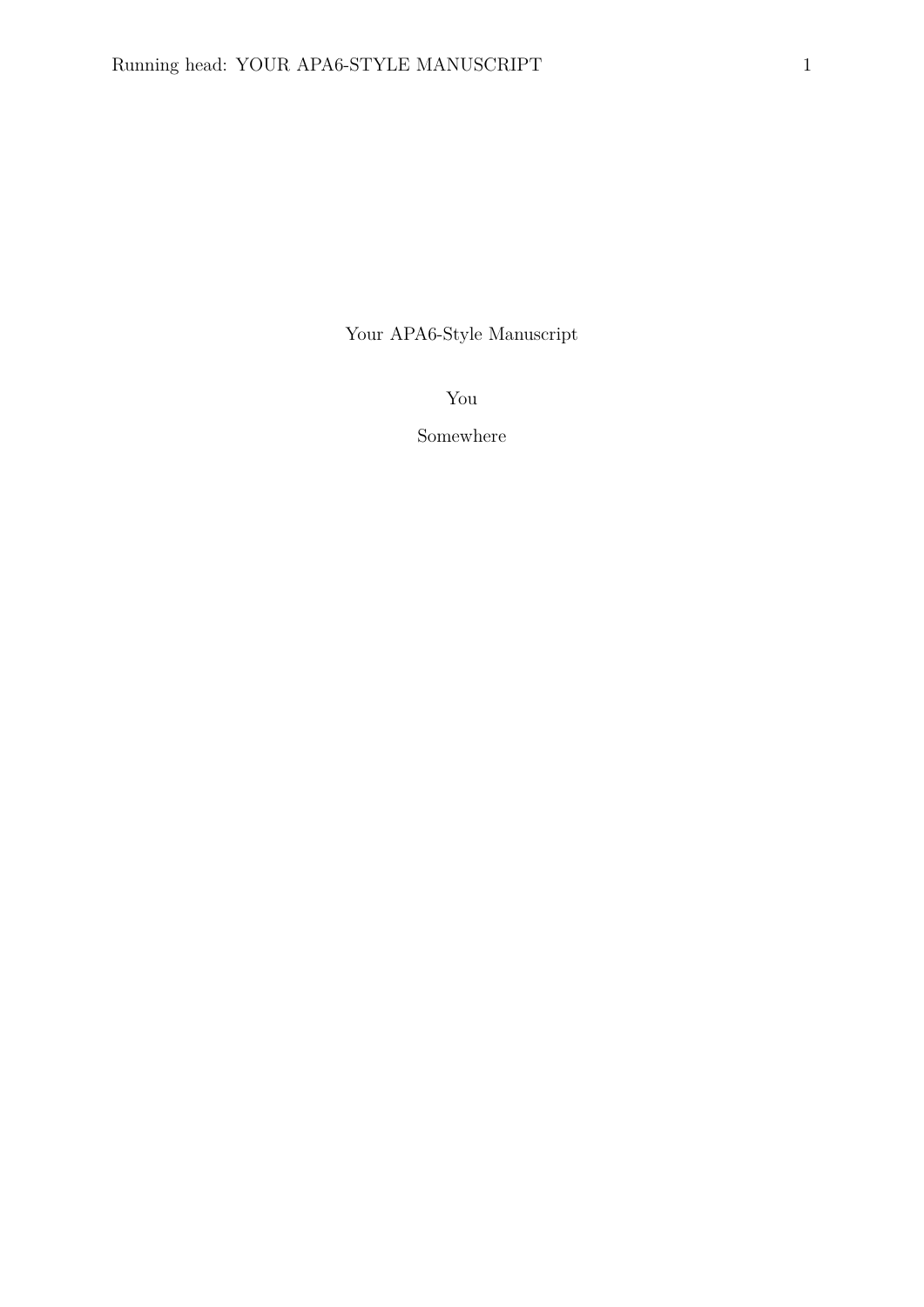Your APA6-Style Manuscript

You

Somewhere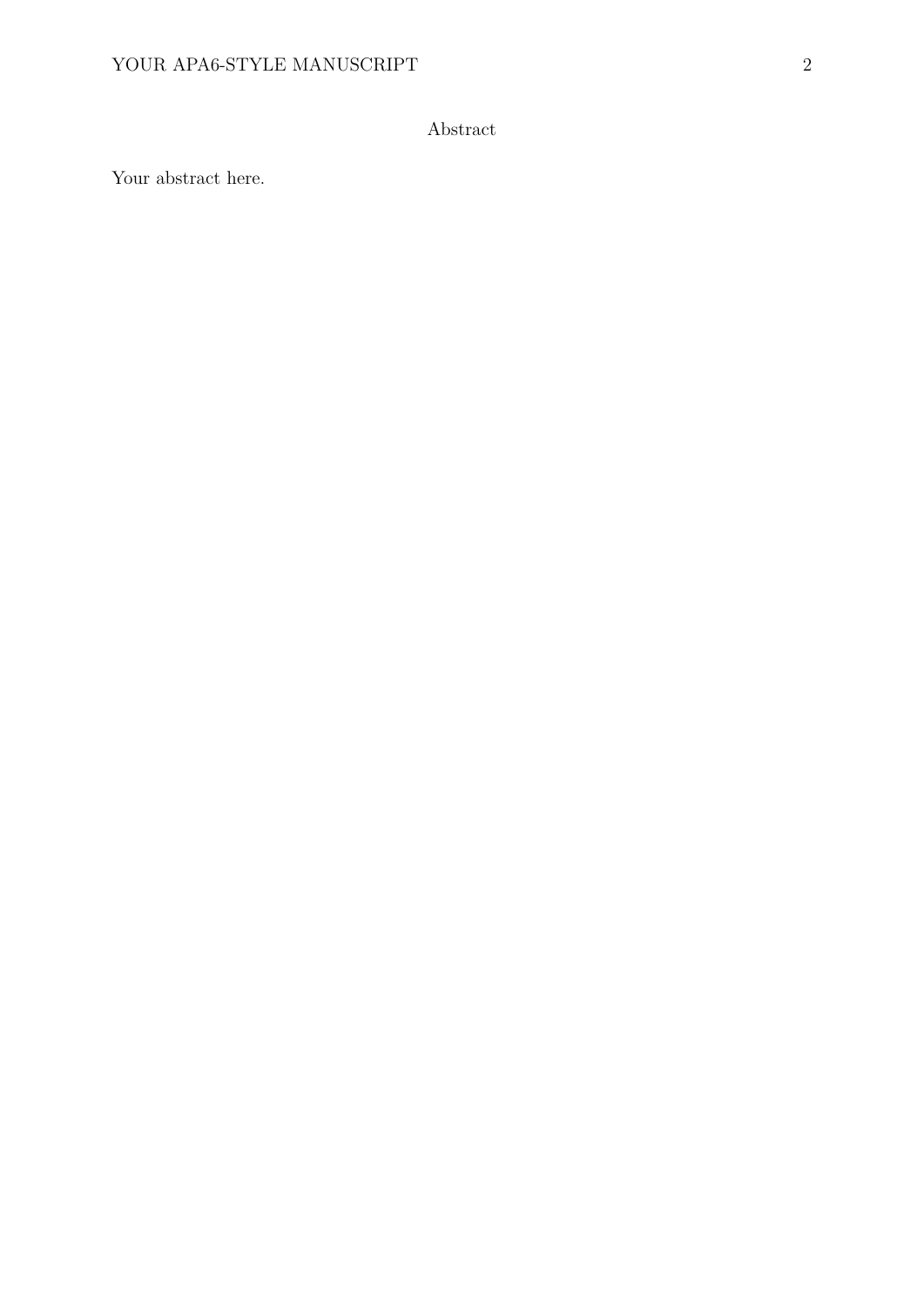# Abstract

Your abstract here.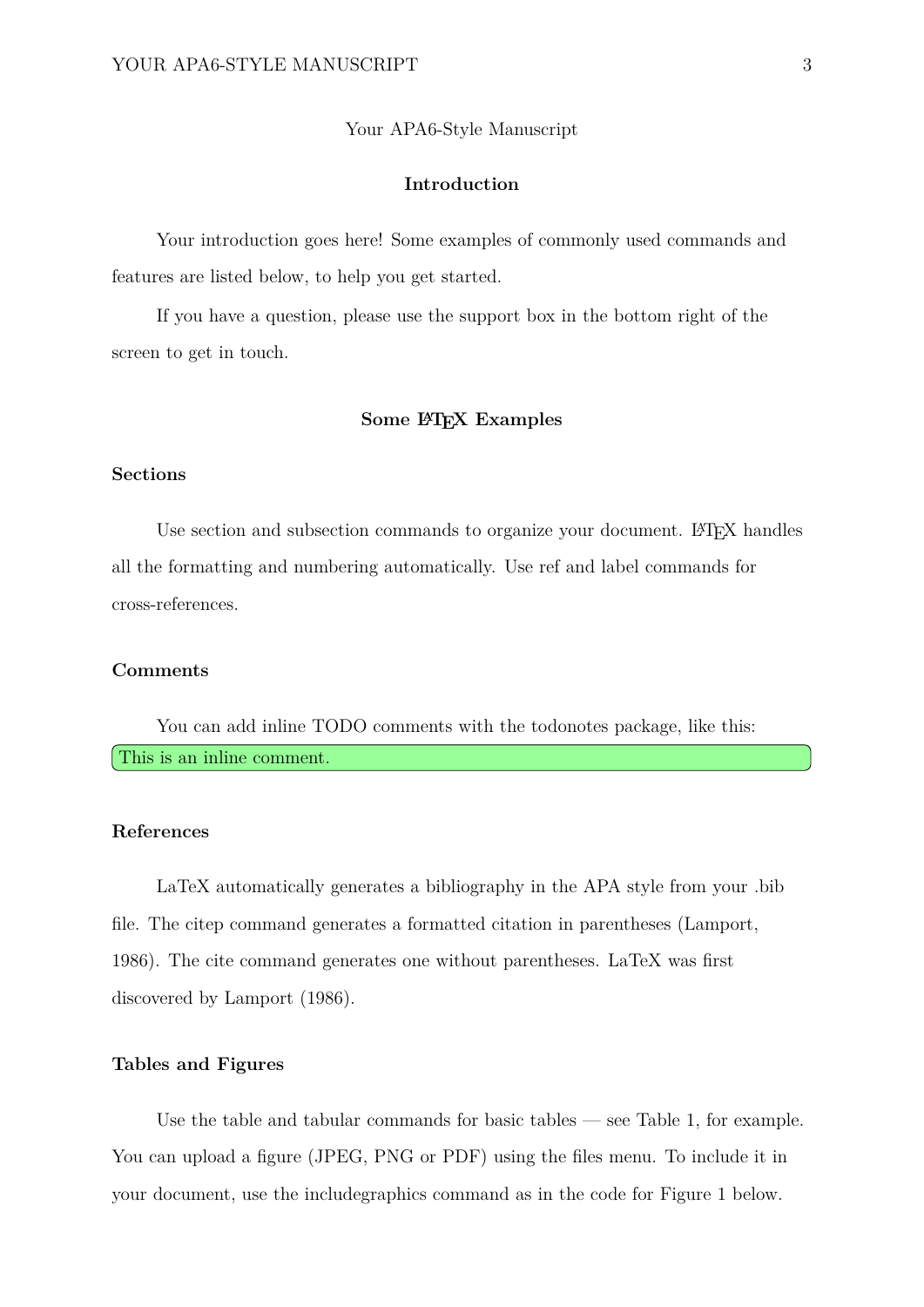#### Your APA6-Style Manuscript

#### **Introduction**

Your introduction goes here! Some examples of commonly used commands and features are listed below, to help you get started.

If you have a question, please use the support box in the bottom right of the screen to get in touch.

#### **Some LATEX Examples**

#### **Sections**

Use section and subsection commands to organize your document. LAT<sub>EX</sub> handles all the formatting and numbering automatically. Use ref and label commands for cross-references.

#### **Comments**

You can add inline TODO comments with the todonotes package, like this: This is an inline comment.

#### **References**

LaTeX automatically generates a bibliography in the APA style from your .bib file. The citep command generates a formatted citation in parentheses (Lamport, 1986). The cite command generates one without parentheses. LaTeX was first discovered by Lamport (1986).

#### **Tables and Figures**

Use the table and tabular commands for basic tables — see Table 1, for example. You can upload a figure (JPEG, PNG or PDF) using the files menu. To include it in your document, use the includegraphics command as in the code for Figure 1 below.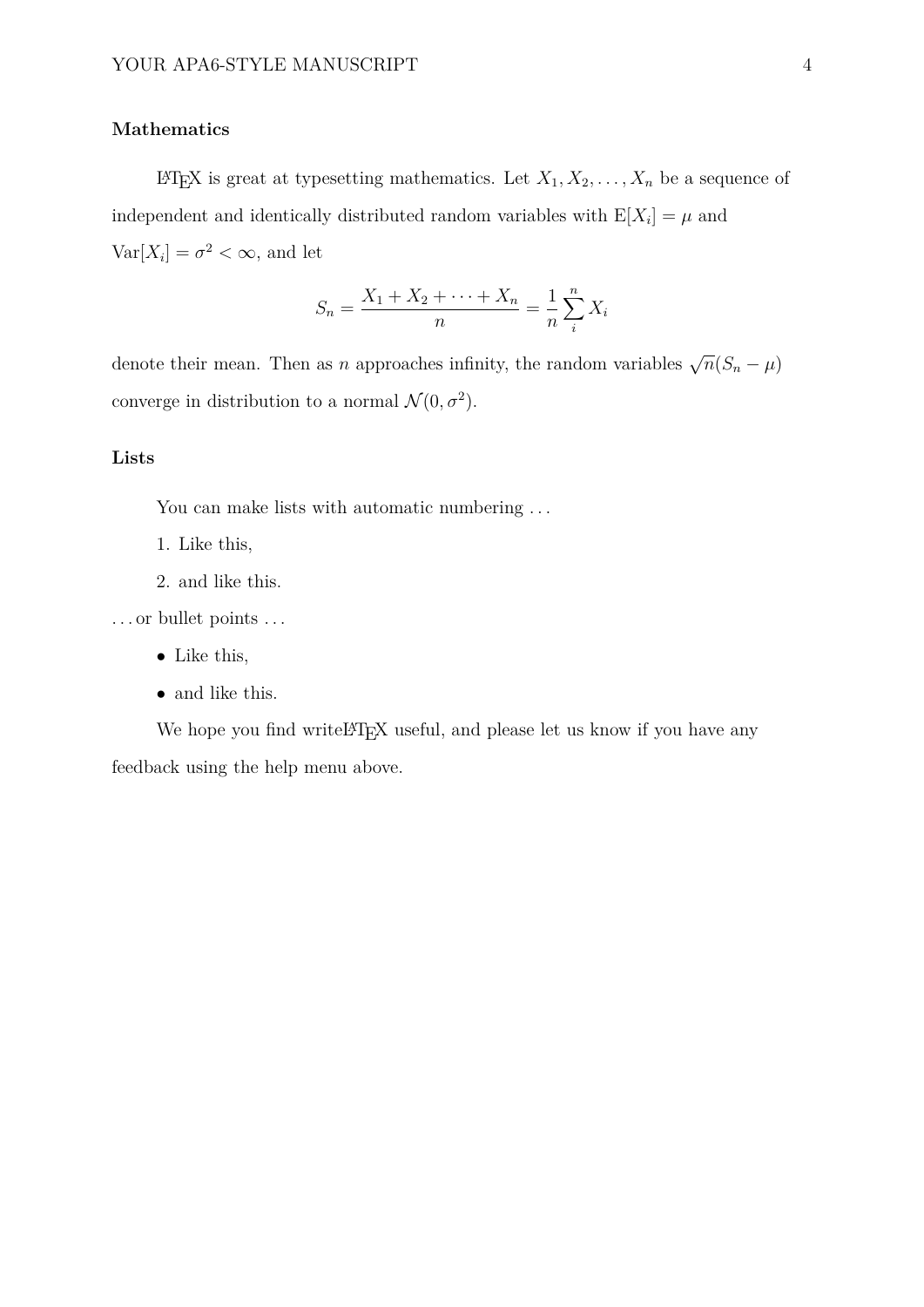### **Mathematics**

LATEX is great at typesetting mathematics. Let  $X_1, X_2, \ldots, X_n$  be a sequence of independent and identically distributed random variables with  $E[X_i] = \mu$  and  $Var[X_i] = \sigma^2 < \infty$ , and let

$$
S_n = \frac{X_1 + X_2 + \dots + X_n}{n} = \frac{1}{n} \sum_{i=1}^{n} X_i
$$

denote their mean. Then as *n* approaches infinity, the random variables  $\sqrt{n}(S_n - \mu)$ converge in distribution to a normal  $\mathcal{N}(0, \sigma^2)$ .

#### **Lists**

You can make lists with automatic numbering ...

- 1. Like this,
- 2. and like this.

. . . or bullet points . . .

- Like this,
- and like this.

We hope you find writeLATEX useful, and please let us know if you have any feedback using the help menu above.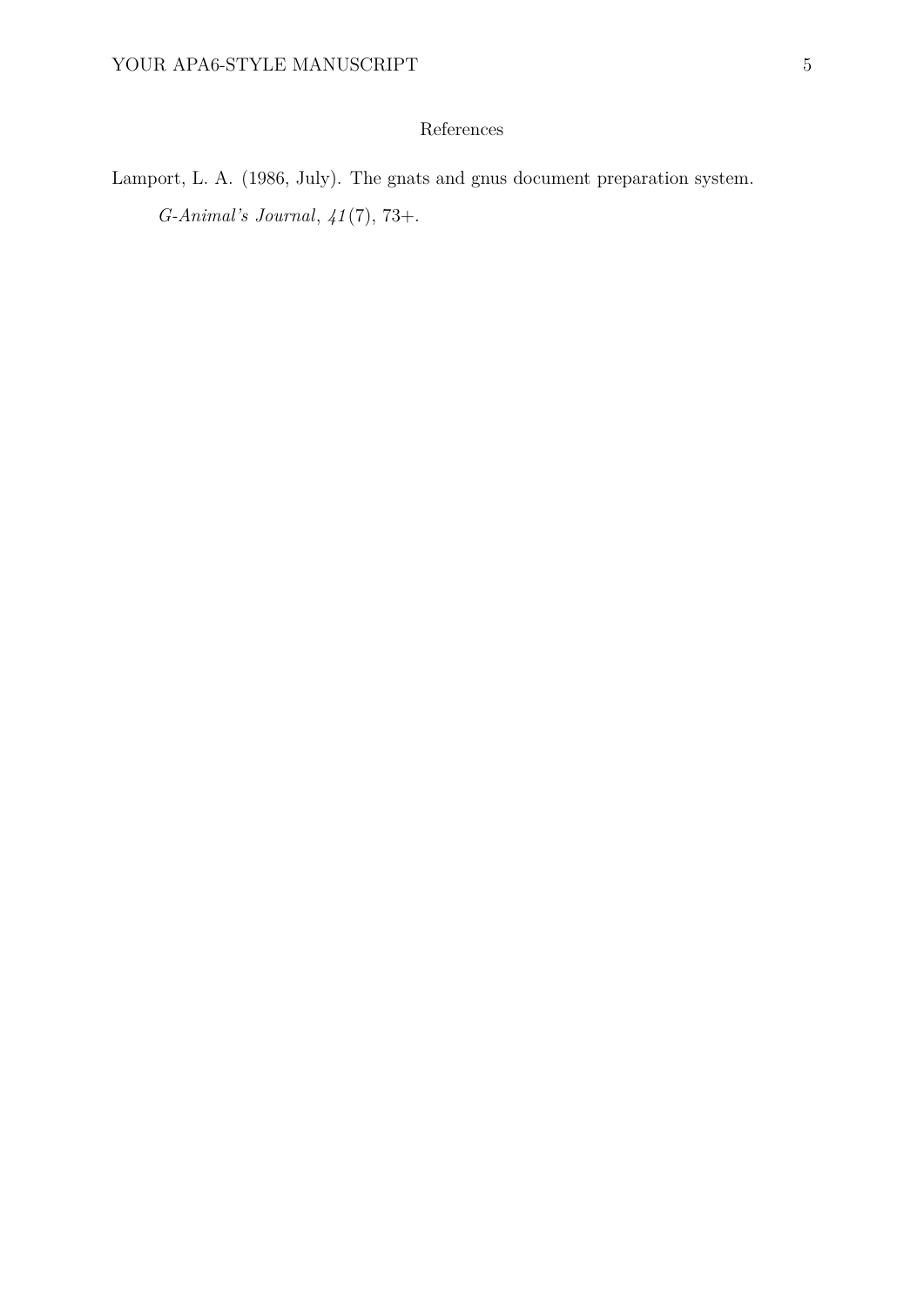## References

Lamport, L. A. (1986, July). The gnats and gnus document preparation system. *G-Animal's Journal*, *41* (7), 73+.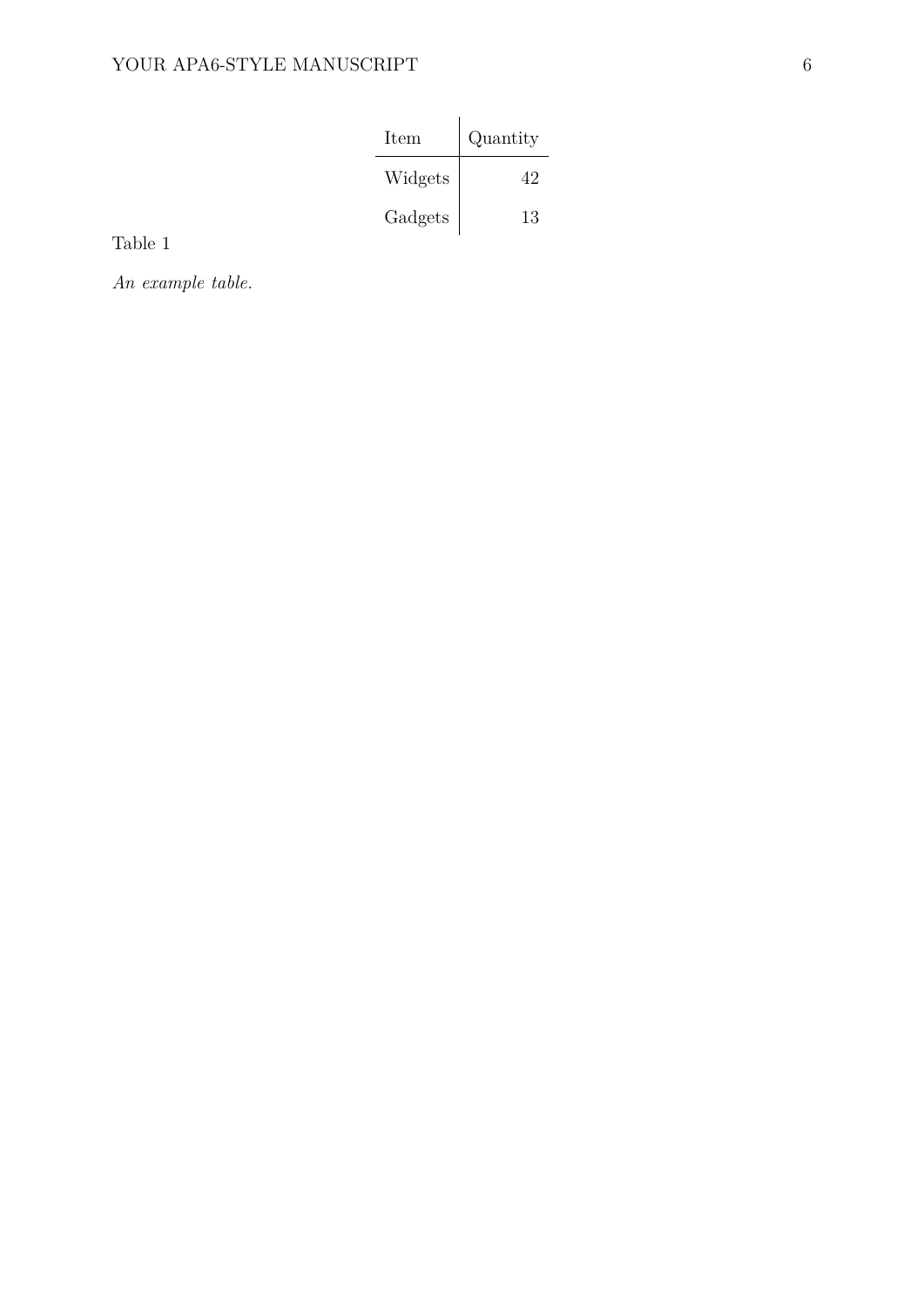| Item    | Quantity |
|---------|----------|
| Widgets | 49.      |
| Gadgets | 13       |

Table 1

*An example table.*